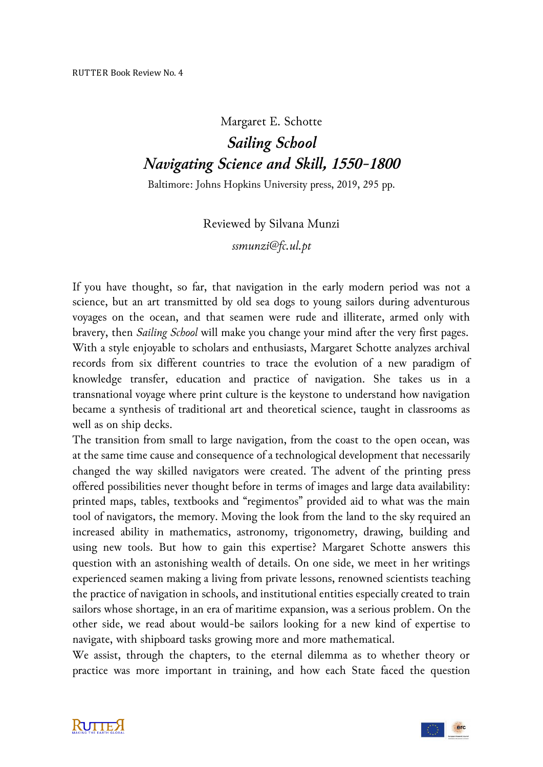## Margaret E. Schotte *Sailing School Navigating Science and Skill, 1550-1800*

Baltimore: Johns Hopkins University press, 2019, 295 pp.

Reviewed by Silvana Munzi

*ssmunzi@fc.ul.pt*

If you have thought, so far, that navigation in the early modern period was not a science, but an art transmitted by old sea dogs to young sailors during adventurous voyages on the ocean, and that seamen were rude and illiterate, armed only with bravery, then *Sailing School* will make you change your mind after the very first pages. With a style enjoyable to scholars and enthusiasts, Margaret Schotte analyzes archival records from six different countries to trace the evolution of a new paradigm of knowledge transfer, education and practice of navigation. She takes us in a transnational voyage where print culture is the keystone to understand how navigation became a synthesis of traditional art and theoretical science, taught in classrooms as well as on ship decks.

The transition from small to large navigation, from the coast to the open ocean, was at the same time cause and consequence of a technological development that necessarily changed the way skilled navigators were created. The advent of the printing press offered possibilities never thought before in terms of images and large data availability: printed maps, tables, textbooks and "regimentos" provided aid to what was the main tool of navigators, the memory. Moving the look from the land to the sky required an increased ability in mathematics, astronomy, trigonometry, drawing, building and using new tools. But how to gain this expertise? Margaret Schotte answers this question with an astonishing wealth of details. On one side, we meet in her writings experienced seamen making a living from private lessons, renowned scientists teaching the practice of navigation in schools, and institutional entities especially created to train sailors whose shortage, in an era of maritime expansion, was a serious problem. On the other side, we read about would-be sailors looking for a new kind of expertise to navigate, with shipboard tasks growing more and more mathematical.

We assist, through the chapters, to the eternal dilemma as to whether theory or practice was more important in training, and how each State faced the question